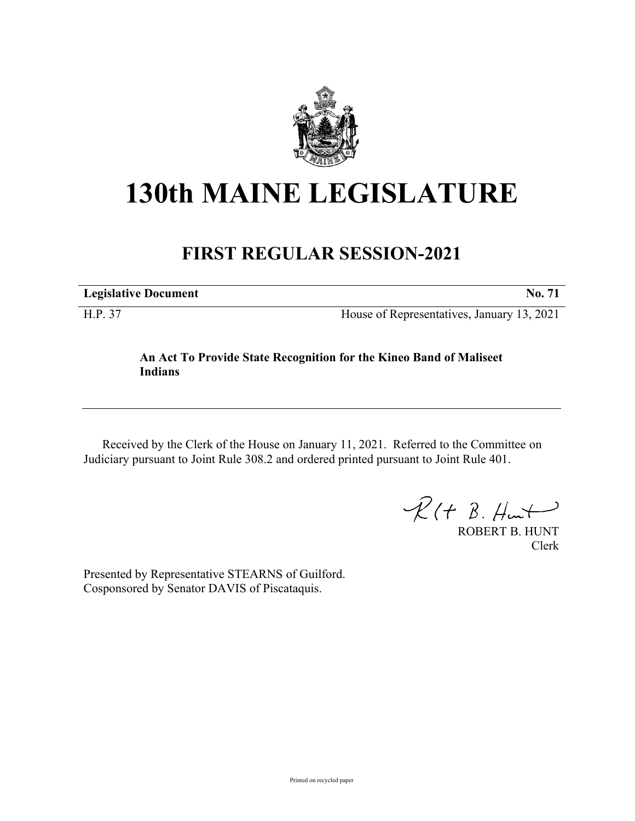

## **130th MAINE LEGISLATURE**

## **FIRST REGULAR SESSION-2021**

| <b>Legislative Document</b> |  |
|-----------------------------|--|
|                             |  |

H.P. 37 House of Representatives, January 13, 2021

## **An Act To Provide State Recognition for the Kineo Band of Maliseet Indians**

Received by the Clerk of the House on January 11, 2021. Referred to the Committee on Judiciary pursuant to Joint Rule 308.2 and ordered printed pursuant to Joint Rule 401.

 $\mathcal{R}(t \; \mathcal{B}, \mathcal{H}_{\mathsf{int}})$ 

ROBERT B. HUNT Clerk

Presented by Representative STEARNS of Guilford. Cosponsored by Senator DAVIS of Piscataquis.